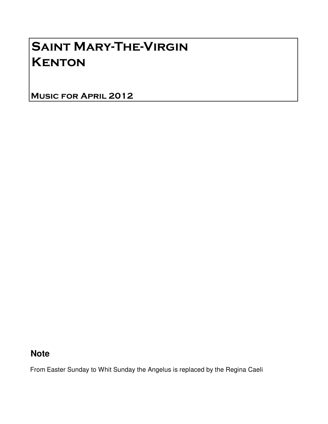## Saint Mary-The-Virgin **KENTON**

Music for April 2012

### **Note**

From Easter Sunday to Whit Sunday the Angelus is replaced by the Regina Caeli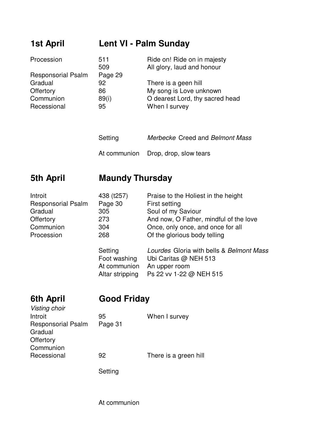### **1st April Lent VI - Palm Sunday**

| Procession                | 511     | Ride on! Ride on in majesty     |
|---------------------------|---------|---------------------------------|
|                           | 509     | All glory, laud and honour      |
| <b>Responsorial Psalm</b> | Page 29 |                                 |
| Gradual                   | 92      | There is a geen hill            |
| Offertory                 | 86      | My song is Love unknown         |
| Communion                 | 89(i)   | O dearest Lord, thy sacred head |
| Recessional               | 95      | When I survey                   |

- Setting Merbecke Creed and Belmont Mass
- At communion Drop, drop, slow tears

### **5th April Maundy Thursday**

| Introit                   | 438 (t257)      | Praise to the Holiest in the height      |
|---------------------------|-----------------|------------------------------------------|
| <b>Responsorial Psalm</b> | Page 30         | First setting                            |
| Gradual                   | 305             | Soul of my Saviour                       |
| Offertory                 | 273             | And now, O Father, mindful of the love   |
| Communion                 | 304             | Once, only once, and once for all        |
| Procession                | 268             | Of the glorious body telling             |
|                           | Setting         | Lourdes Gloria with bells & Belmont Mass |
|                           | Foot washing    | Ubi Caritas @ NEH 513                    |
|                           | At communion    | An upper room                            |
|                           | Altar stripping | Ps 22 vv 1-22 @ NEH 515                  |

# Visting choir

### **6th April Good Friday**

| Introit                   | 95      | When I survey         |
|---------------------------|---------|-----------------------|
| <b>Responsorial Psalm</b> | Page 31 |                       |
| Gradual                   |         |                       |
| Offertory                 |         |                       |
| Communion                 |         |                       |
| Recessional               | 92      | There is a green hill |
|                           |         |                       |

Setting

At communion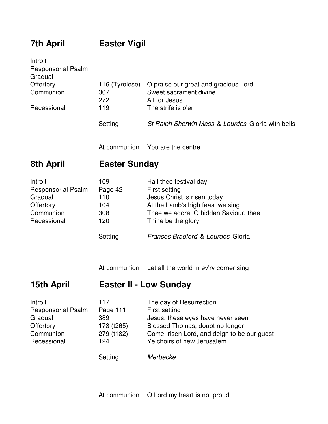### **7th April Easter Vigil**

| Introit                   |                |                                                   |
|---------------------------|----------------|---------------------------------------------------|
| <b>Responsorial Psalm</b> |                |                                                   |
| Gradual                   |                |                                                   |
| Offertory                 | 116 (Tyrolese) | O praise our great and gracious Lord              |
| Communion                 | 307            | Sweet sacrament divine                            |
|                           | 272            | All for Jesus                                     |
| Recessional               | 119            | The strife is o'er                                |
|                           | Setting        | St Ralph Sherwin Mass & Lourdes Gloria with bells |

At communion You are the centre

### **8th April Easter Sunday**

| Introit                   | 109     | Hail thee festival day                |
|---------------------------|---------|---------------------------------------|
| <b>Responsorial Psalm</b> | Page 42 | First setting                         |
| Gradual                   | 110     | Jesus Christ is risen today           |
| Offertory                 | 104     | At the Lamb's high feast we sing      |
| Communion                 | 308     | Thee we adore, O hidden Saviour, thee |
| Recessional               | 120     | Thine be the glory                    |
|                           | Setting | Frances Bradford & Lourdes Gloria     |

At communion Let all the world in ev'ry corner sing

### **15th April Easter II - Low Sunday**

| Introit                   | 117        | The day of Resurrection                     |
|---------------------------|------------|---------------------------------------------|
| <b>Responsorial Psalm</b> | Page 111   | First setting                               |
| Gradual                   | 389        | Jesus, these eyes have never seen           |
| Offertory                 | 173 (t265) | Blessed Thomas, doubt no longer             |
| Communion                 | 279 (t182) | Come, risen Lord, and deign to be our quest |
| Recessional               | 124        | Ye choirs of new Jerusalem                  |
|                           | Setting    | Merbecke                                    |